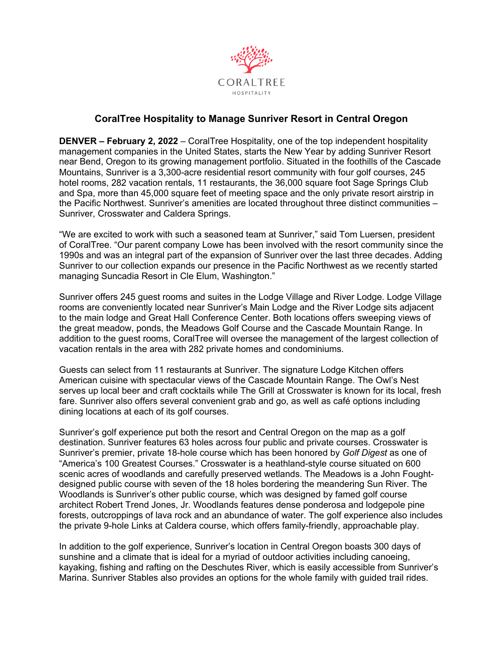

## **CoralTree Hospitality to Manage Sunriver Resort in Central Oregon**

**DENVER – February 2, 2022** – CoralTree Hospitality, one of the top independent hospitality management companies in the United States, starts the New Year by adding Sunriver Resort near Bend, Oregon to its growing management portfolio. Situated in the foothills of the Cascade Mountains, Sunriver is a 3,300-acre residential resort community with four golf courses, 245 hotel rooms, 282 vacation rentals, 11 restaurants, the 36,000 square foot Sage Springs Club and Spa, more than 45,000 square feet of meeting space and the only private resort airstrip in the Pacific Northwest. Sunriver's amenities are located throughout three distinct communities – Sunriver, Crosswater and Caldera Springs.

"We are excited to work with such a seasoned team at Sunriver," said Tom Luersen, president of CoralTree. "Our parent company Lowe has been involved with the resort community since the 1990s and was an integral part of the expansion of Sunriver over the last three decades. Adding Sunriver to our collection expands our presence in the Pacific Northwest as we recently started managing Suncadia Resort in Cle Elum, Washington."

Sunriver offers 245 guest rooms and suites in the Lodge Village and River Lodge. Lodge Village rooms are conveniently located near Sunriver's Main Lodge and the River Lodge sits adjacent to the main lodge and Great Hall Conference Center. Both locations offers sweeping views of the great meadow, ponds, the Meadows Golf Course and the Cascade Mountain Range. In addition to the guest rooms, CoralTree will oversee the management of the largest collection of vacation rentals in the area with 282 private homes and condominiums.

Guests can select from 11 restaurants at Sunriver. The signature Lodge Kitchen offers American cuisine with spectacular views of the Cascade Mountain Range. The Owl's Nest serves up local beer and craft cocktails while The Grill at Crosswater is known for its local, fresh fare. Sunriver also offers several convenient grab and go, as well as café options including dining locations at each of its golf courses.

Sunriver's golf experience put both the resort and Central Oregon on the map as a golf destination. Sunriver features 63 holes across four public and private courses. Crosswater is Sunriver's premier, private 18-hole course which has been honored by *Golf Digest* as one of "America's 100 Greatest Courses." Crosswater is a heathland-style course situated on 600 scenic acres of woodlands and carefully preserved wetlands. The Meadows is a John Foughtdesigned public course with seven of the 18 holes bordering the meandering Sun River. The Woodlands is Sunriver's other public course, which was designed by famed golf course architect Robert Trend Jones, Jr. Woodlands features dense ponderosa and lodgepole pine forests, outcroppings of lava rock and an abundance of water. The golf experience also includes the private 9-hole Links at Caldera course, which offers family-friendly, approachable play.

In addition to the golf experience, Sunriver's location in Central Oregon boasts 300 days of sunshine and a climate that is ideal for a myriad of outdoor activities including canoeing, kayaking, fishing and rafting on the Deschutes River, which is easily accessible from Sunriver's Marina. Sunriver Stables also provides an options for the whole family with guided trail rides.